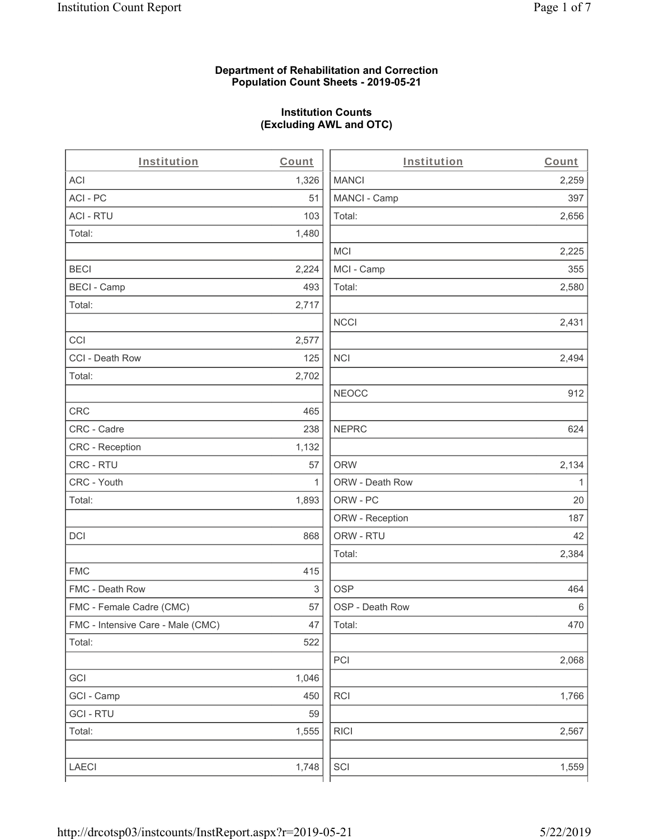### **Department of Rehabilitation and Correction Population Count Sheets - 2019-05-21**

# **Institution Counts (Excluding AWL and OTC)**

. .

| Institution                       | Count        | Institution     | Count        |
|-----------------------------------|--------------|-----------------|--------------|
| ACI                               | 1,326        | <b>MANCI</b>    | 2,259        |
| ACI-PC                            | 51           | MANCI - Camp    | 397          |
| <b>ACI - RTU</b>                  | 103          | Total:          | 2,656        |
| Total:                            | 1,480        |                 |              |
|                                   |              | <b>MCI</b>      | 2,225        |
| <b>BECI</b>                       | 2,224        | MCI - Camp      | 355          |
| <b>BECI - Camp</b>                | 493          | Total:          | 2,580        |
| Total:                            | 2,717        |                 |              |
|                                   |              | <b>NCCI</b>     | 2,431        |
| CCI                               | 2,577        |                 |              |
| CCI - Death Row                   | 125          | $\sf NCI$       | 2,494        |
| Total:                            | 2,702        |                 |              |
|                                   |              | <b>NEOCC</b>    | 912          |
| <b>CRC</b>                        | 465          |                 |              |
| CRC - Cadre                       | 238          | <b>NEPRC</b>    | 624          |
| CRC - Reception                   | 1,132        |                 |              |
| CRC - RTU                         | 57           | <b>ORW</b>      | 2,134        |
| CRC - Youth                       | $\mathbf{1}$ | ORW - Death Row | $\mathbf{1}$ |
| Total:                            | 1,893        | ORW - PC        | 20           |
|                                   |              | ORW - Reception | 187          |
| DCI                               | 868          | ORW - RTU       | 42           |
|                                   |              | Total:          | 2,384        |
| <b>FMC</b>                        | 415          |                 |              |
| FMC - Death Row                   | 3            | <b>OSP</b>      | 464          |
| FMC - Female Cadre (CMC)          | 57           | OSP - Death Row | 6            |
| FMC - Intensive Care - Male (CMC) | 47           | Total:          | 470          |
| Total:                            | 522          |                 |              |
|                                   |              | PCI             | 2,068        |
| GCI                               | 1,046        |                 |              |
| GCI - Camp                        | 450          | RCI             | 1,766        |
| <b>GCI - RTU</b>                  | 59           |                 |              |
| Total:                            | 1,555        | <b>RICI</b>     | 2,567        |
|                                   |              |                 |              |
| LAECI                             | 1,748        | SCI             | 1,559        |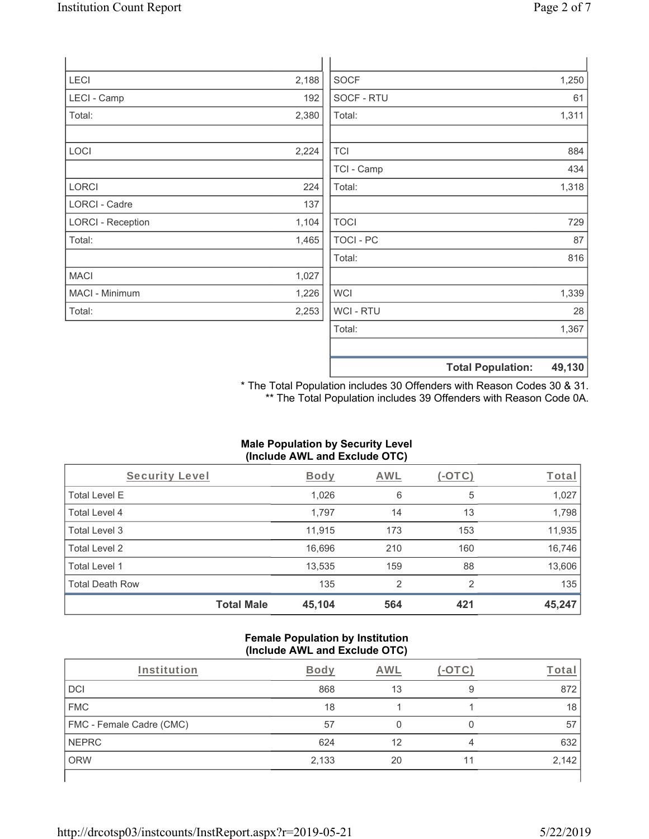| LECI                     | 2,188 | <b>SOCF</b>    | 1,250 |
|--------------------------|-------|----------------|-------|
| LECI - Camp              | 192   | SOCF - RTU     | 61    |
| Total:                   | 2,380 | Total:         | 1,311 |
|                          |       |                |       |
| LOCI                     | 2,224 | <b>TCI</b>     | 884   |
|                          |       | TCI - Camp     | 434   |
| LORCI                    | 224   | Total:         | 1,318 |
| <b>LORCI - Cadre</b>     | 137   |                |       |
| <b>LORCI - Reception</b> | 1,104 | <b>TOCI</b>    | 729   |
| Total:                   | 1,465 | TOCI - PC      | 87    |
|                          |       | Total:         | 816   |
| MACI                     | 1,027 |                |       |
| MACI - Minimum           | 1,226 | <b>WCI</b>     | 1,339 |
| Total:                   | 2,253 | <b>WCI-RTU</b> | 28    |
|                          |       | Total:         | 1,367 |
|                          |       |                |       |

\* The Total Population includes 30 Offenders with Reason Codes 30 & 31. \*\* The Total Population includes 39 Offenders with Reason Code 0A.

**Total Population: 49,130**

# **Male Population by Security Level (Include AWL and Exclude OTC)**

| Security Level         |                   | <b>Body</b> | <b>AWL</b> | $(-\text{OTC})$ | Total  |
|------------------------|-------------------|-------------|------------|-----------------|--------|
| <b>Total Level E</b>   |                   | 1,026       | 6          | 5               | 1,027  |
| Total Level 4          |                   | 1,797       | 14         | 13              | 1,798  |
| Total Level 3          |                   | 11,915      | 173        | 153             | 11,935 |
| Total Level 2          |                   | 16,696      | 210        | 160             | 16,746 |
| Total Level 1          |                   | 13,535      | 159        | 88              | 13,606 |
| <b>Total Death Row</b> |                   | 135         | 2          | $\mathfrak{p}$  | 135    |
|                        | <b>Total Male</b> | 45,104      | 564        | 421             | 45,247 |

#### **Female Population by Institution (Include AWL and Exclude OTC)**

| Institution              | <b>Body</b> | AWI |    |       |
|--------------------------|-------------|-----|----|-------|
| DCI                      | 868         | 13  | 9  | 872   |
| <b>FMC</b>               | 18          |     |    | 18    |
| FMC - Female Cadre (CMC) | 57          |     |    | 57    |
| <b>NEPRC</b>             | 624         | 12  |    | 632   |
| <b>ORW</b>               | 2,133       | 20  | 11 | 2,142 |
|                          |             |     |    |       |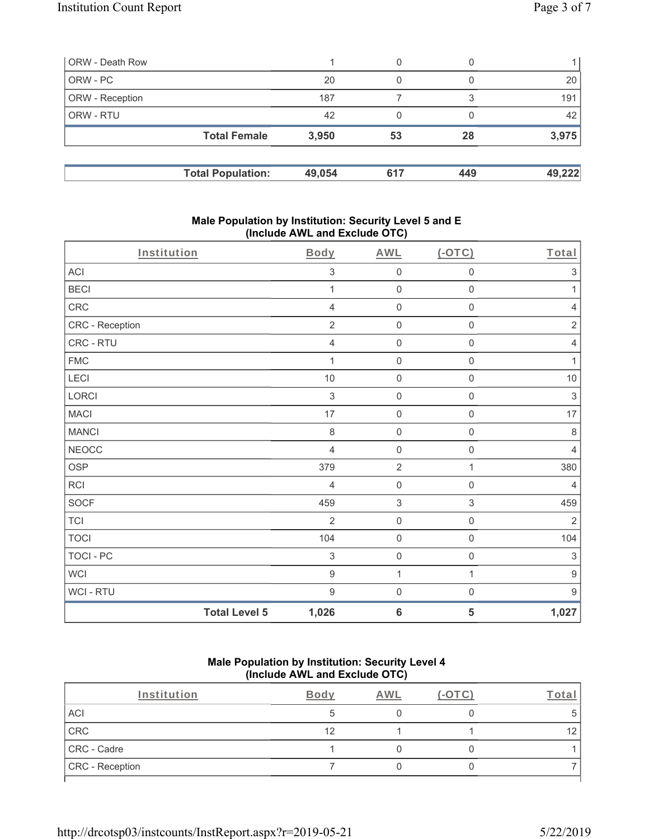| ORW - Death Row        |                          |        | 0   |     |        |
|------------------------|--------------------------|--------|-----|-----|--------|
| ORW - PC               |                          | 20     |     |     | 20     |
| <b>ORW</b> - Reception |                          | 187    |     | ີ   | 191    |
| <b>ORW - RTU</b>       |                          | 42     | 0   |     | 42     |
|                        | <b>Total Female</b>      | 3,950  | 53  | 28  | 3,975  |
|                        | <b>Total Population:</b> | 49,054 | 617 | 449 | 49,222 |

### **Male Population by Institution: Security Level 5 and E (Include AWL and Exclude OTC)**

| Institution      |                      | <b>Body</b>      | <b>AWL</b>                | $(-OTC)$            | Total            |
|------------------|----------------------|------------------|---------------------------|---------------------|------------------|
| <b>ACI</b>       |                      | 3                | $\mathbf 0$               | $\mathsf 0$         | $\sqrt{3}$       |
| <b>BECI</b>      |                      | 1                | $\mathbf 0$               | $\mathsf{O}\xspace$ | 1                |
| CRC              |                      | $\overline{4}$   | $\mathbf 0$               | $\boldsymbol{0}$    | $\overline{4}$   |
| CRC - Reception  |                      | $\overline{2}$   | $\mathbf 0$               | $\mathbf 0$         | $\sqrt{2}$       |
| CRC - RTU        |                      | $\overline{4}$   | $\mathbf 0$               | $\mathsf{O}\xspace$ | $\overline{4}$   |
| <b>FMC</b>       |                      | 1                | $\mathbf 0$               | $\mathsf{O}\xspace$ | $\mathbf{1}$     |
| LECI             |                      | $10$             | $\mathbf 0$               | $\mathsf 0$         | $10$             |
| LORCI            |                      | $\sqrt{3}$       | $\mathbf 0$               | $\mathbf 0$         | $\sqrt{3}$       |
| <b>MACI</b>      |                      | 17               | $\mathbf 0$               | $\mathsf{O}\xspace$ | $17\,$           |
| <b>MANCI</b>     |                      | $\,8\,$          | $\mathbf 0$               | $\mathsf 0$         | $\,8\,$          |
| <b>NEOCC</b>     |                      | $\overline{4}$   | $\mathbf 0$               | $\mathsf{O}\xspace$ | $\overline{4}$   |
| <b>OSP</b>       |                      | 379              | $\overline{2}$            | 1                   | 380              |
| RCI              |                      | $\overline{4}$   | $\mathbf 0$               | $\mathsf{O}\xspace$ | $\overline{4}$   |
| <b>SOCF</b>      |                      | 459              | $\ensuremath{\mathsf{3}}$ | $\mathfrak{S}$      | 459              |
| <b>TCI</b>       |                      | $\overline{2}$   | $\mathbf 0$               | $\mathsf 0$         | $\sqrt{2}$       |
| <b>TOCI</b>      |                      | 104              | $\boldsymbol{0}$          | $\mathbf 0$         | 104              |
| <b>TOCI - PC</b> |                      | $\sqrt{3}$       | $\mathbf 0$               | $\mathsf{O}\xspace$ | $\sqrt{3}$       |
| <b>WCI</b>       |                      | $\boldsymbol{9}$ | $\mathbf{1}$              | $\mathbf{1}$        | $\boldsymbol{9}$ |
| WCI - RTU        |                      | $\boldsymbol{9}$ | $\mathbf 0$               | $\mathsf{O}\xspace$ | $\boldsymbol{9}$ |
|                  | <b>Total Level 5</b> | 1,026            | $6\phantom{1}6$           | 5                   | 1,027            |

### **Male Population by Institution: Security Level 4 (Include AWL and Exclude OTC)**

| Institution     | <b>Body</b> | AWL | LOTC. | `otal |
|-----------------|-------------|-----|-------|-------|
| ACI             |             |     |       | 5     |
| CRC             | 12          |     |       | 12    |
| CRC - Cadre     |             |     |       |       |
| CRC - Reception |             |     |       |       |
|                 |             |     |       |       |

http://drcotsp03/instcounts/InstReport.aspx?r=2019-05-21 5/22/2019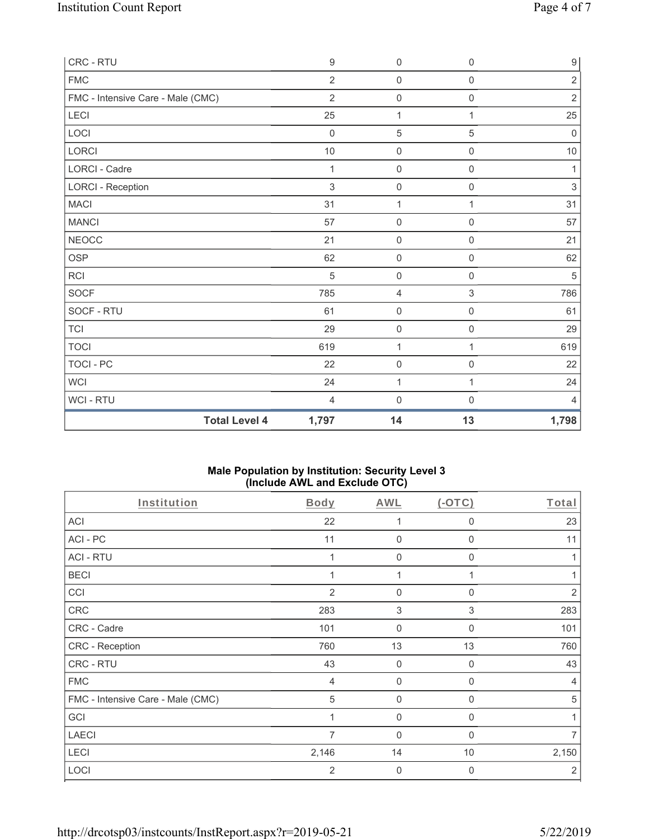| CRC - RTU                         | $\boldsymbol{9}$ | $\mathbf 0$         | $\mathsf{O}\xspace$ | $\boldsymbol{9}$ |
|-----------------------------------|------------------|---------------------|---------------------|------------------|
| <b>FMC</b>                        | $\overline{2}$   | $\mathbf 0$         | $\mathsf{O}\xspace$ | $\overline{2}$   |
| FMC - Intensive Care - Male (CMC) | $\overline{2}$   | $\mathsf{O}\xspace$ | $\mathsf{O}\xspace$ | $\sqrt{2}$       |
| LECI                              | 25               | $\mathbf{1}$        | 1                   | 25               |
| LOCI                              | $\mathbf 0$      | $\sqrt{5}$          | 5                   | $\boldsymbol{0}$ |
| LORCI                             | 10               | $\mathbf 0$         | $\mathsf 0$         | $10$             |
| <b>LORCI - Cadre</b>              | 1                | $\mathbf 0$         | 0                   | 1                |
| <b>LORCI - Reception</b>          | $\sqrt{3}$       | $\mathsf{O}\xspace$ | $\mathsf{O}\xspace$ | $\sqrt{3}$       |
| <b>MACI</b>                       | 31               | $\mathbf{1}$        | 1                   | 31               |
| <b>MANCI</b>                      | 57               | $\mathbf 0$         | 0                   | 57               |
| <b>NEOCC</b>                      | 21               | $\mathsf 0$         | $\mathsf 0$         | 21               |
| <b>OSP</b>                        | 62               | $\mathbf 0$         | $\mathbf 0$         | 62               |
| RCI                               | 5                | $\mathbf 0$         | $\mathsf{O}\xspace$ | $\,$ 5 $\,$      |
| <b>SOCF</b>                       | 785              | $\overline{4}$      | $\mathfrak{S}$      | 786              |
| SOCF - RTU                        | 61               | $\mathbf 0$         | 0                   | 61               |
| <b>TCI</b>                        | 29               | $\mathsf{O}\xspace$ | $\mathsf{O}\xspace$ | 29               |
| <b>TOCI</b>                       | 619              | 1                   | 1                   | 619              |
| TOCI - PC                         | 22               | $\mathbf 0$         | $\mathsf{O}\xspace$ | 22               |
| <b>WCI</b>                        | 24               | $\mathbf{1}$        | $\mathbf{1}$        | 24               |
| <b>WCI-RTU</b>                    | 4                | $\mathbf 0$         | 0                   | 4                |
| <b>Total Level 4</b>              | 1,797            | 14                  | 13                  | 1,798            |

### **Male Population by Institution: Security Level 3 (Include AWL and Exclude OTC)**

| Institution                       | <b>Body</b>    | <b>AWL</b>     | (OTC)        | Total          |
|-----------------------------------|----------------|----------------|--------------|----------------|
| <b>ACI</b>                        | 22             | 1              | $\mathbf 0$  | 23             |
| ACI-PC                            | 11             | $\mathbf{0}$   | $\mathbf 0$  | 11             |
| <b>ACI - RTU</b>                  |                | 0              | 0            |                |
| <b>BECI</b>                       |                | 1              |              |                |
| CCI                               | 2              | $\mathbf 0$    | $\Omega$     | 2              |
| CRC                               | 283            | 3              | 3            | 283            |
| CRC - Cadre                       | 101            | $\mathbf{0}$   | $\Omega$     | 101            |
| CRC - Reception                   | 760            | 13             | 13           | 760            |
| CRC - RTU                         | 43             | $\mathbf 0$    | 0            | 43             |
| <b>FMC</b>                        | $\overline{4}$ | $\mathbf 0$    | 0            | 4              |
| FMC - Intensive Care - Male (CMC) | 5              | $\mathbf 0$    | $\Omega$     | 5              |
| GCI                               |                | 0              | $\mathbf{0}$ |                |
| <b>LAECI</b>                      | 7              | $\mathbf{0}$   | 0            | 7              |
| LECI                              | 2,146          | 14             | 10           | 2,150          |
| LOCI                              | $\overline{2}$ | $\overline{0}$ | $\mathbf{0}$ | $\overline{2}$ |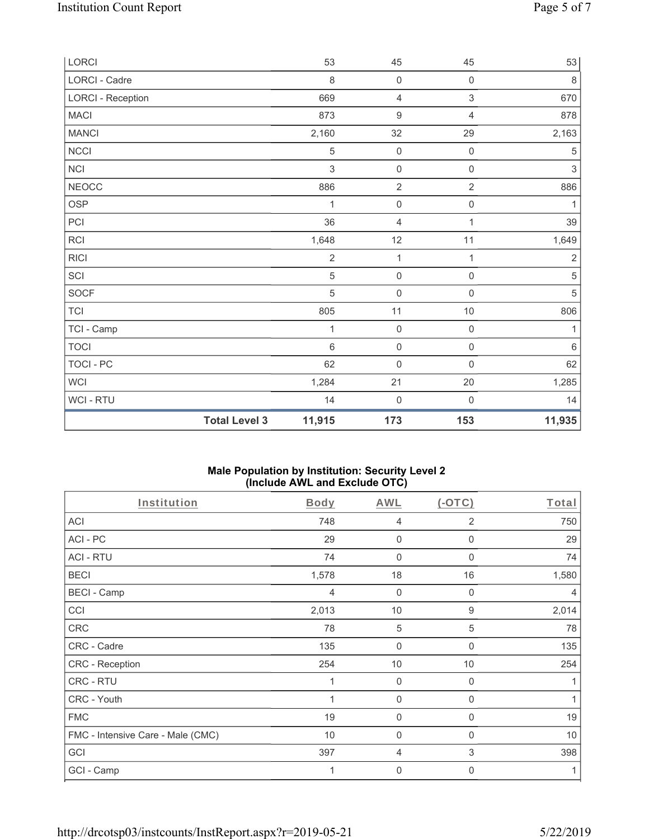| LORCI                    |                      | 53             | 45                  | 45                        | 53                        |
|--------------------------|----------------------|----------------|---------------------|---------------------------|---------------------------|
| LORCI - Cadre            |                      | 8              | $\mathbf 0$         | $\mathsf{O}\xspace$       | $\,8\,$                   |
| <b>LORCI - Reception</b> |                      | 669            | $\overline{4}$      | $\ensuremath{\mathsf{3}}$ | 670                       |
| <b>MACI</b>              |                      | 873            | $\boldsymbol{9}$    | $\overline{4}$            | 878                       |
| <b>MANCI</b>             |                      | 2,160          | 32                  | 29                        | 2,163                     |
| NCCI                     |                      | 5              | $\mathbf 0$         | $\mathbf 0$               | $\mathbf 5$               |
| NCI                      |                      | 3              | $\mathsf 0$         | $\mathsf{O}\xspace$       | $\ensuremath{\mathsf{3}}$ |
| <b>NEOCC</b>             |                      | 886            | $\overline{2}$      | $\overline{2}$            | 886                       |
| OSP                      |                      | 1              | $\mathsf{O}\xspace$ | $\mathsf{O}\xspace$       | 1                         |
| PCI                      |                      | 36             | $\overline{4}$      | 1                         | 39                        |
| RCI                      |                      | 1,648          | 12                  | 11                        | 1,649                     |
| <b>RICI</b>              |                      | $\overline{2}$ | $\mathbf 1$         | 1                         | $\sqrt{2}$                |
| SCI                      |                      | 5              | $\mathsf{O}\xspace$ | $\mathsf{O}\xspace$       | $\,$ 5 $\,$               |
| SOCF                     |                      | 5              | $\mathbf 0$         | $\mathbf 0$               | 5                         |
| <b>TCI</b>               |                      | 805            | 11                  | $10$                      | 806                       |
| TCI - Camp               |                      | 1              | $\mathbf 0$         | $\mathsf{O}\xspace$       | 1                         |
| <b>TOCI</b>              |                      | $\,6$          | $\mathsf{O}\xspace$ | $\mathsf 0$               | $\,6\,$                   |
| TOCI - PC                |                      | 62             | $\mathsf{O}\xspace$ | $\mathsf{O}\xspace$       | 62                        |
| <b>WCI</b>               |                      | 1,284          | 21                  | $20\,$                    | 1,285                     |
| WCI - RTU                |                      | 14             | $\mathsf{O}\xspace$ | $\mathsf{O}\xspace$       | 14                        |
|                          | <b>Total Level 3</b> | 11,915         | 173                 | 153                       | 11,935                    |

### **Male Population by Institution: Security Level 2 (Include AWL and Exclude OTC)**

| Institution                       | <b>Body</b>    | <b>AWL</b>   | (OTC)       | Total |
|-----------------------------------|----------------|--------------|-------------|-------|
| <b>ACI</b>                        | 748            | 4            | 2           | 750   |
| ACI-PC                            | 29             | $\mathbf 0$  | $\Omega$    | 29    |
| <b>ACI - RTU</b>                  | 74             | 0            | 0           | 74    |
| <b>BECI</b>                       | 1,578          | 18           | 16          | 1,580 |
| <b>BECI - Camp</b>                | $\overline{4}$ | $\mathbf{0}$ | 0           | 4     |
| CCI                               | 2,013          | 10           | 9           | 2,014 |
| CRC                               | 78             | 5            | 5           | 78    |
| CRC - Cadre                       | 135            | $\mathbf 0$  | $\Omega$    | 135   |
| CRC - Reception                   | 254            | 10           | 10          | 254   |
| CRC - RTU                         | 1              | $\mathbf 0$  | $\Omega$    | 1     |
| CRC - Youth                       | 1              | $\mathbf 0$  | $\mathbf 0$ | 1     |
| <b>FMC</b>                        | 19             | 0            | 0           | 19    |
| FMC - Intensive Care - Male (CMC) | 10             | 0            | $\Omega$    | 10    |
| GCI                               | 397            | 4            | 3           | 398   |
| GCI - Camp                        | 1              | $\mathbf 0$  | 0           | 1     |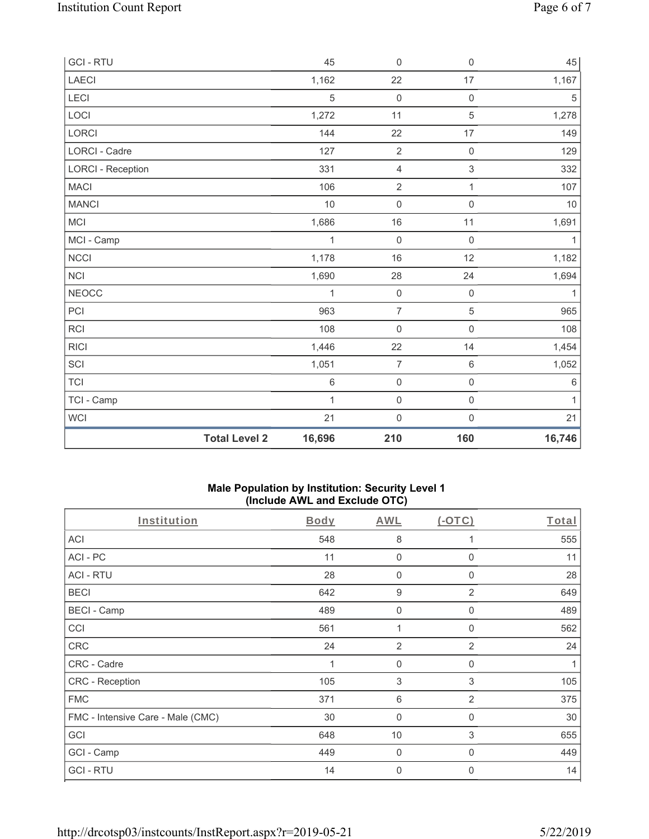| <b>GCI-RTU</b>           |                      | 45         | $\mathsf{O}\xspace$ | $\mathsf{O}\xspace$ | 45           |
|--------------------------|----------------------|------------|---------------------|---------------------|--------------|
| <b>LAECI</b>             |                      | 1,162      | 22                  | 17                  | 1,167        |
| LECI                     |                      | $\sqrt{5}$ | $\mathbf 0$         | $\mathsf 0$         | $\mathbf 5$  |
| LOCI                     |                      | 1,272      | 11                  | $\mathbf 5$         | 1,278        |
| LORCI                    |                      | 144        | 22                  | 17                  | 149          |
| LORCI - Cadre            |                      | 127        | $\overline{2}$      | $\mathsf{O}\xspace$ | 129          |
| <b>LORCI - Reception</b> |                      | 331        | $\sqrt{4}$          | $\sqrt{3}$          | 332          |
| <b>MACI</b>              |                      | 106        | $\sqrt{2}$          | $\mathbf{1}$        | 107          |
| <b>MANCI</b>             |                      | 10         | $\mathsf{O}\xspace$ | $\mathsf{O}\xspace$ | 10           |
| MCI                      |                      | 1,686      | 16                  | 11                  | 1,691        |
| MCI - Camp               |                      | 1          | $\mathbf 0$         | $\mathsf{O}\xspace$ | $\mathbf{1}$ |
| NCCI                     |                      | 1,178      | 16                  | 12                  | 1,182        |
| <b>NCI</b>               |                      | 1,690      | 28                  | 24                  | 1,694        |
| <b>NEOCC</b>             |                      | 1          | $\mathsf{O}\xspace$ | $\mathsf{O}\xspace$ | 1            |
| PCI                      |                      | 963        | $\overline{7}$      | $\sqrt{5}$          | 965          |
| RCI                      |                      | 108        | $\mathbf 0$         | $\mathsf 0$         | 108          |
| <b>RICI</b>              |                      | 1,446      | 22                  | 14                  | 1,454        |
| SCI                      |                      | 1,051      | $\overline{7}$      | $\,6$               | 1,052        |
| <b>TCI</b>               |                      | $\,6\,$    | $\mathbf 0$         | $\mathsf 0$         | $\,6\,$      |
| TCI - Camp               |                      | 1          | $\mathsf{O}\xspace$ | $\mathsf 0$         | $\mathbf{1}$ |
| WCI                      |                      | 21         | $\boldsymbol{0}$    | $\mathsf 0$         | 21           |
|                          | <b>Total Level 2</b> | 16,696     | 210                 | 160                 | 16,746       |

### **Male Population by Institution: Security Level 1 (Include AWL and Exclude OTC)**

| Institution                       | Body | AWL              | $(-OTC)$       | Total |
|-----------------------------------|------|------------------|----------------|-------|
| <b>ACI</b>                        | 548  | 8                |                | 555   |
| ACI-PC                            | 11   | $\mathbf 0$      | 0              | 11    |
| <b>ACI - RTU</b>                  | 28   | $\mathbf 0$      | 0              | 28    |
| <b>BECI</b>                       | 642  | $\boldsymbol{9}$ | 2              | 649   |
| <b>BECI - Camp</b>                | 489  | $\mathbf 0$      | 0              | 489   |
| CCI                               | 561  | 1                | 0              | 562   |
| CRC                               | 24   | $\overline{2}$   | $\overline{2}$ | 24    |
| CRC - Cadre                       |      | 0                | 0              | 1     |
| CRC - Reception                   | 105  | 3                | 3              | 105   |
| <b>FMC</b>                        | 371  | $\,6\,$          | 2              | 375   |
| FMC - Intensive Care - Male (CMC) | 30   | $\mathbf 0$      | 0              | 30    |
| GCI                               | 648  | 10               | 3              | 655   |
| GCI - Camp                        | 449  | $\mathbf 0$      | 0              | 449   |
| <b>GCI-RTU</b>                    | 14   | $\mathbf 0$      | 0              | 14    |